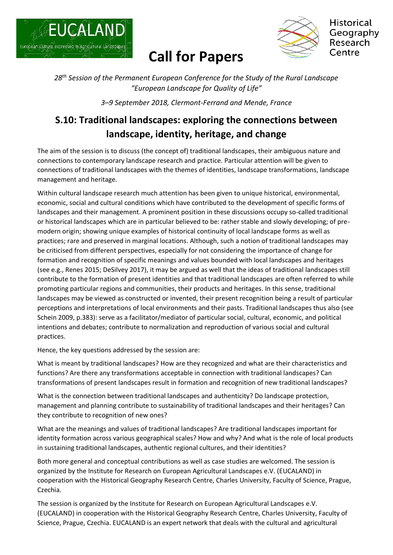

## **Call for Papers**



*28 th Session of the Permanent European Conference for the Study of the Rural Landscape "European Landscape for Quality of Life"*

*3–9 September 2018, Clermont-Ferrand and Mende, France*

## **S.10: Traditional landscapes: exploring the connections between landscape, identity, heritage, and change**

The aim of the session is to discuss (the concept of) traditional landscapes, their ambiguous nature and connections to contemporary landscape research and practice. Particular attention will be given to connections of traditional landscapes with the themes of identities, landscape transformations, landscape management and heritage.

Within cultural landscape research much attention has been given to unique historical, environmental, economic, social and cultural conditions which have contributed to the development of specific forms of landscapes and their management. A prominent position in these discussions occupy so-called traditional or historical landscapes which are in particular believed to be: rather stable and slowly developing; of premodern origin; showing unique examples of historical continuity of local landscape forms as well as practices; rare and preserved in marginal locations. Although, such a notion of traditional landscapes may be criticised from different perspectives, especially for not considering the importance of change for formation and recognition of specific meanings and values bounded with local landscapes and heritages (see e.g., Renes 2015; DeSilvey 2017), it may be argued as well that the ideas of traditional landscapes still contribute to the formation of present identities and that traditional landscapes are often referred to while promoting particular regions and communities, their products and heritages. In this sense, traditional landscapes may be viewed as constructed or invented, their present recognition being a result of particular perceptions and interpretations of local environments and their pasts. Traditional landscapes thus also (see Schein 2009, p.383): serve as a facilitator/mediator of particular social, cultural, economic, and political intentions and debates; contribute to normalization and reproduction of various social and cultural practices.

Hence, the key questions addressed by the session are:

What is meant by traditional landscapes? How are they recognized and what are their characteristics and functions? Are there any transformations acceptable in connection with traditional landscapes? Can transformations of present landscapes result in formation and recognition of new traditional landscapes?

What is the connection between traditional landscapes and authenticity? Do landscape protection, management and planning contribute to sustainability of traditional landscapes and their heritages? Can they contribute to recognition of new ones?

What are the meanings and values of traditional landscapes? Are traditional landscapes important for identity formation across various geographical scales? How and why? And what is the role of local products in sustaining traditional landscapes, authentic regional cultures, and their identities?

Both more general and conceptual contributions as well as case studies are welcomed. The session is organized by the Institute for Research on European Agricultural Landscapes e.V. (EUCALAND) in cooperation with the Historical Geography Research Centre, Charles University, Faculty of Science, Prague, Czechia.

The session is organized by the Institute for Research on European Agricultural Landscapes e.V. (EUCALAND) in cooperation with the Historical Geography Research Centre, Charles University, Faculty of Science, Prague, Czechia. EUCALAND is an expert network that deals with the cultural and agricultural